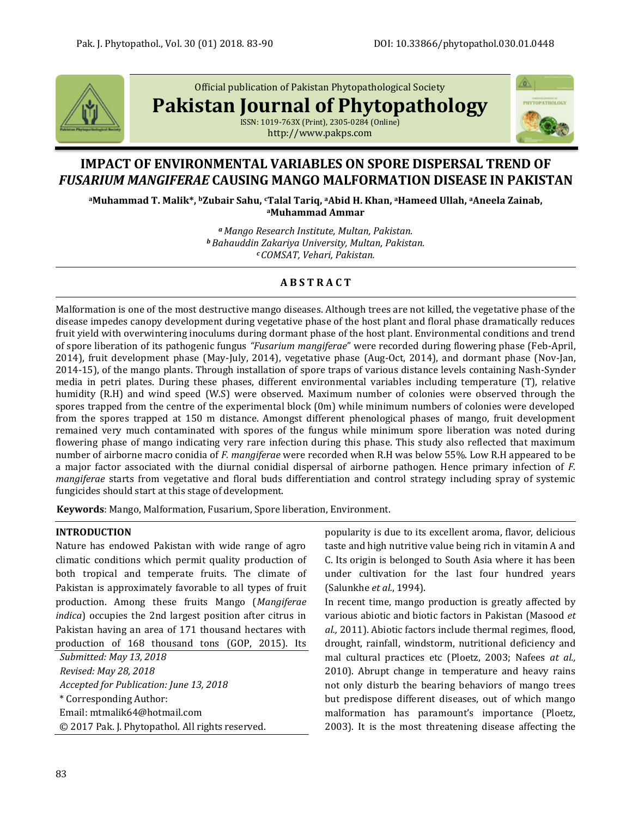

Official publication of Pakistan Phytopathological Society

**Pakistan Journal of Phytopathology**

ISSN: 1019-763X (Print), 2305-0284 (Online) http://www.pakps.com



# **IMPACT OF ENVIRONMENTAL VARIABLES ON SPORE DISPERSAL TREND OF**  *FUSARIUM MANGIFERAE* **CAUSING MANGO MALFORMATION DISEASE IN PAKISTAN**

**<sup>a</sup>Muhammad T. Malik\*, <sup>b</sup>Zubair Sahu, cTalal Tariq, aAbid H. Khan, aHameed Ullah, aAneela Zainab, <sup>a</sup>Muhammad Ammar**

> *<sup>a</sup>Mango Research Institute, Multan, Pakistan. <sup>b</sup> Bahauddin Zakariya University, Multan, Pakistan. <sup>c</sup> COMSAT, Vehari, Pakistan.*

# **A B S T R A C T**

Malformation is one of the most destructive mango diseases. Although trees are not killed, the vegetative phase of the disease impedes canopy development during vegetative phase of the host plant and floral phase dramatically reduces fruit yield with overwintering inoculums during dormant phase of the host plant. Environmental conditions and trend of spore liberation of its pathogenic fungus *"Fusarium mangiferae*" were recorded during flowering phase (Feb-April, 2014), fruit development phase (May-July, 2014), vegetative phase (Aug-Oct, 2014), and dormant phase (Nov-Jan, 2014-15), of the mango plants. Through installation of spore traps of various distance levels containing Nash-Synder media in petri plates. During these phases, different environmental variables including temperature (T), relative humidity (R.H) and wind speed (W.S) were observed. Maximum number of colonies were observed through the spores trapped from the centre of the experimental block (0m) while minimum numbers of colonies were developed from the spores trapped at 150 m distance. Amongst different phenological phases of mango, fruit development remained very much contaminated with spores of the fungus while minimum spore liberation was noted during flowering phase of mango indicating very rare infection during this phase. This study also reflected that maximum number of airborne macro conidia of *F. mangiferae* were recorded when R.H was below 55%. Low R.H appeared to be a major factor associated with the diurnal conidial dispersal of airborne pathogen. Hence primary infection of *F. mangiferae* starts from vegetative and floral buds differentiation and control strategy including spray of systemic fungicides should start at this stage of development.

**Keywords**: Mango, Malformation, Fusarium, Spore liberation, Environment.

# **INTRODUCTION**

Nature has endowed Pakistan with wide range of agro climatic conditions which permit quality production of both tropical and temperate fruits. The climate of Pakistan is approximately favorable to all types of fruit production. Among these fruits Mango (*Mangiferae indica*) occupies the 2nd largest position after citrus in Pakistan having an area of 171 thousand hectares with production of 168 thousand tons (GOP, 2015). Its

*Submitted: May 13, 2018 Revised: May 28, 2018 Accepted for Publication: June 13, 2018* \* Corresponding Author: Email[: mtmalik64@hotmail.com](mailto:mtmalik64@hotmail.com) © 2017 Pak. J. Phytopathol. All rights reserved. popularity is due to its excellent aroma, flavor, delicious taste and high nutritive value being rich in vitamin A and C. Its origin is belonged to South Asia where it has been under cultivation for the last four hundred years (Salunkhe *et al.*, 1994).

In recent time, mango production is greatly affected by various abiotic and biotic factors in Pakistan (Masood *et al.,* 2011). Abiotic factors include thermal regimes, flood, drought, rainfall, windstorm, nutritional deficiency and mal cultural practices etc (Ploetz, 2003; Nafees *at al.,* 2010). Abrupt change in temperature and heavy rains not only disturb the bearing behaviors of mango trees but predispose different diseases, out of which mango malformation has paramount's importance (Ploetz, 2003). It is the most threatening disease affecting the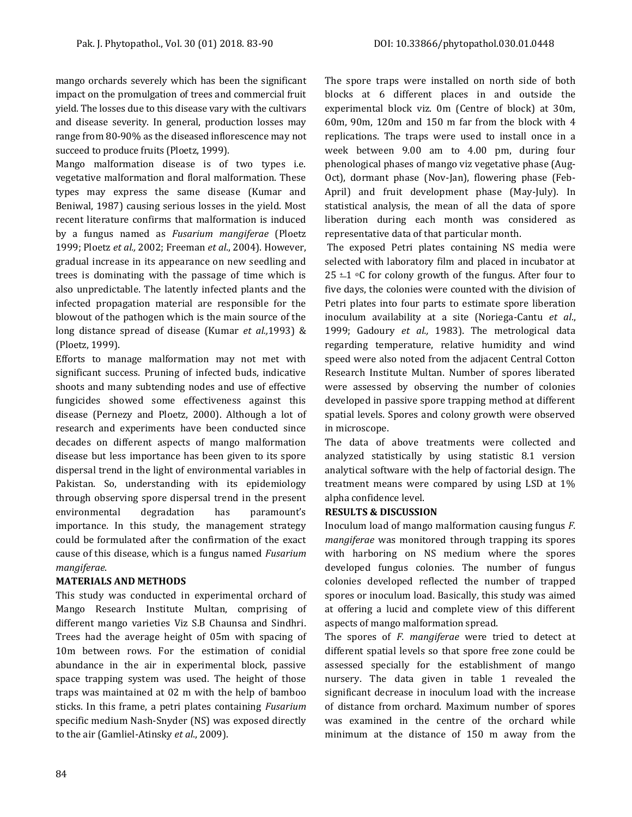mango orchards severely which has been the significant impact on the promulgation of trees and commercial fruit yield. The losses due to this disease vary with the cultivars and disease severity. In general, production losses may range from 80-90% as the diseased inflorescence may not succeed to produce fruits (Ploetz, 1999).

Mango malformation disease is of two types i.e. vegetative malformation and floral malformation. These types may express the same disease (Kumar and Beniwal, 1987) causing serious losses in the yield. Most recent literature confirms that malformation is induced by a fungus named as *Fusarium mangiferae* (Ploetz 1999; Ploetz *et al.,* 2002; Freeman *et al*., 2004). However, gradual increase in its appearance on new seedling and trees is dominating with the passage of time which is also unpredictable. The latently infected plants and the infected propagation material are responsible for the blowout of the pathogen which is the main source of the long distance spread of disease (Kumar *et al.,*1993) & (Ploetz, 1999).

Efforts to manage malformation may not met with significant success. Pruning of infected buds, indicative shoots and many subtending nodes and use of effective fungicides showed some effectiveness against this disease (Pernezy and Ploetz, 2000). Although a lot of research and experiments have been conducted since decades on different aspects of mango malformation disease but less importance has been given to its spore dispersal trend in the light of environmental variables in Pakistan. So, understanding with its epidemiology through observing spore dispersal trend in the present environmental degradation has paramount's importance. In this study, the management strategy could be formulated after the confirmation of the exact cause of this disease, which is a fungus named *Fusarium mangiferae*.

# **MATERIALS AND METHODS**

This study was conducted in experimental orchard of Mango Research Institute Multan, comprising of different mango varieties Viz S.B Chaunsa and Sindhri. Trees had the average height of 05m with spacing of 10m between rows. For the estimation of conidial abundance in the air in experimental block, passive space trapping system was used. The height of those traps was maintained at 02 m with the help of bamboo sticks. In this frame, a petri plates containing *Fusarium* specific medium Nash-Snyder (NS) was exposed directly to the air (Gamliel-Atinsky *et al*., 2009).

The spore traps were installed on north side of both blocks at 6 different places in and outside the experimental block viz. 0m (Centre of block) at 30m, 60m, 90m, 120m and 150 m far from the block with 4 replications. The traps were used to install once in a week between 9.00 am to 4.00 pm, during four phenological phases of mango viz vegetative phase (Aug-Oct), dormant phase (Nov-Jan), flowering phase (Feb-April) and fruit development phase (May-July). In statistical analysis, the mean of all the data of spore liberation during each month was considered as representative data of that particular month.

The exposed Petri plates containing NS media were selected with laboratory film and placed in incubator at 25  $\pm$ 1 °C for colony growth of the fungus. After four to five days, the colonies were counted with the division of Petri plates into four parts to estimate spore liberation inoculum availability at a site (Noriega-Cantu *et al*., 1999; Gadoury *et al.,* 1983). The metrological data regarding temperature, relative humidity and wind speed were also noted from the adjacent Central Cotton Research Institute Multan. Number of spores liberated were assessed by observing the number of colonies developed in passive spore trapping method at different spatial levels. Spores and colony growth were observed in microscope.

The data of above treatments were collected and analyzed statistically by using statistic 8.1 version analytical software with the help of factorial design. The treatment means were compared by using LSD at 1% alpha confidence level.

# **RESULTS & DISCUSSION**

Inoculum load of mango malformation causing fungus *F. mangiferae* was monitored through trapping its spores with harboring on NS medium where the spores developed fungus colonies. The number of fungus colonies developed reflected the number of trapped spores or inoculum load. Basically, this study was aimed at offering a lucid and complete view of this different aspects of mango malformation spread.

The spores of *F. mangiferae* were tried to detect at different spatial levels so that spore free zone could be assessed specially for the establishment of mango nursery. The data given in table 1 revealed the significant decrease in inoculum load with the increase of distance from orchard. Maximum number of spores was examined in the centre of the orchard while minimum at the distance of 150 m away from the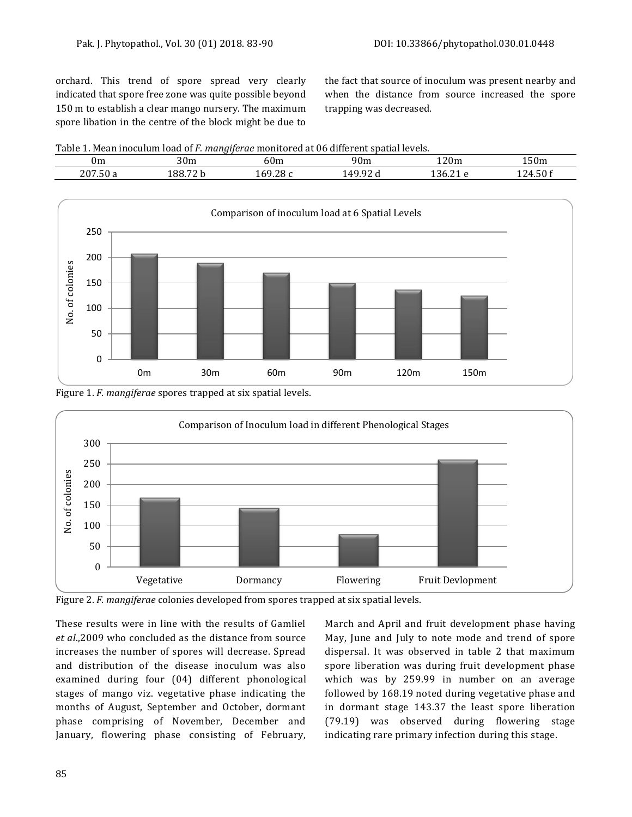orchard. This trend of spore spread very clearly indicated that spore free zone was quite possible beyond 150 m to establish a clear mango nursery. The maximum spore libation in the centre of the block might be due to the fact that source of inoculum was present nearby and when the distance from source increased the spore trapping was decreased.

Table 1. Mean inoculum load of *F. mangiferae* monitored at 06 different spatial levels.

| 0m          | 30m    | 60m                                         | 90 <sub>m</sub> | 120m              | $\sim$<br>150m   |
|-------------|--------|---------------------------------------------|-----------------|-------------------|------------------|
| 207<br>. 50 | 188.72 | $\sim$<br>60<br>. .<br><b>LUT</b><br>. 20 U | $\sim$<br>AC    | $\sim$<br>л.<br>. | ′ ∠L<br>-14<br>. |
|             |        |                                             |                 |                   |                  |



Figure 1. *F. mangiferae* spores trapped at six spatial levels.



Figure 2. *F. mangiferae* colonies developed from spores trapped at six spatial levels.

These results were in line with the results of Gamliel *et al*.,2009 who concluded as the distance from source increases the number of spores will decrease. Spread and distribution of the disease inoculum was also examined during four (04) different phonological stages of mango viz. vegetative phase indicating the months of August, September and October, dormant phase comprising of November, December and January, flowering phase consisting of February, March and April and fruit development phase having May, June and July to note mode and trend of spore dispersal. It was observed in table 2 that maximum spore liberation was during fruit development phase which was by 259.99 in number on an average followed by 168.19 noted during vegetative phase and in dormant stage 143.37 the least spore liberation (79.19) was observed during flowering stage indicating rare primary infection during this stage.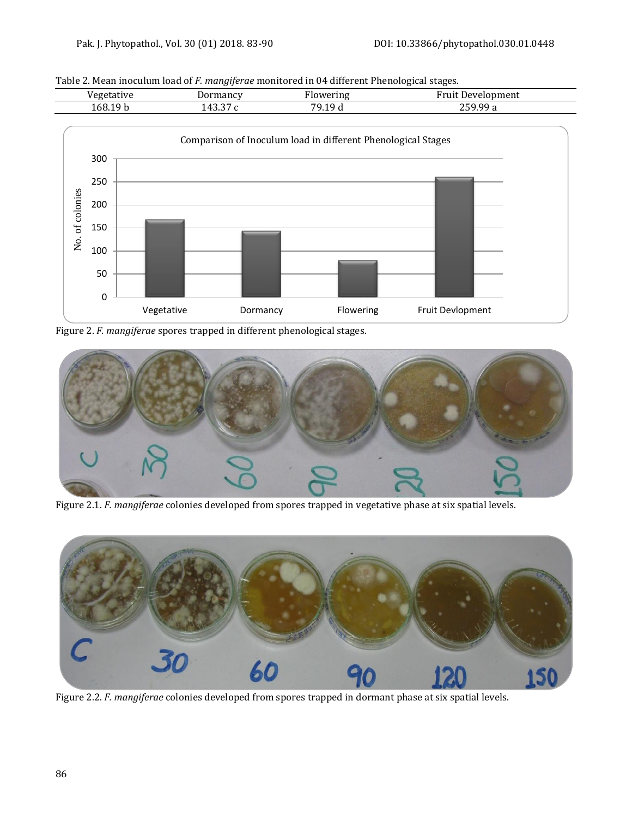Table 2. Mean inoculum load of *F. mangiferae* monitored in 04 different Phenological stages.





Figure 2. *F. mangiferae* spores trapped in different phenological stages.



Figure 2.1. *F. mangiferae* colonies developed from spores trapped in vegetative phase at six spatial levels.



Figure 2.2. *F. mangiferae* colonies developed from spores trapped in dormant phase at six spatial levels.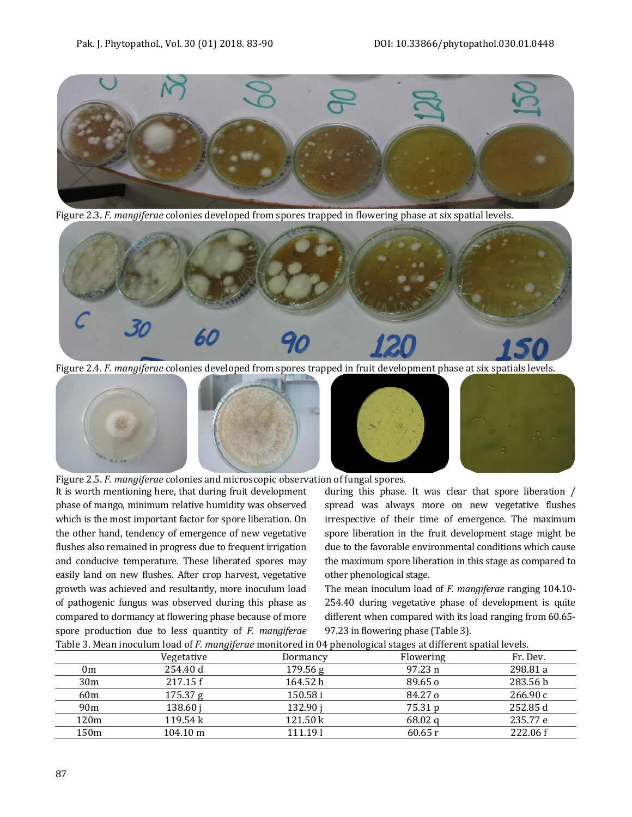

Figure 2.3. *F. mangiferae* colonies developed from spores trapped in flowering phase at six spatial levels.



Figure 2.4. *F. mangiferae* colonies developed from spores trapped in fruit development phase at six spatials levels.



Figure 2.5. *F. mangiferae* colonies and microscopic observation of fungal spores.

It is worth mentioning here, that during fruit development phase of mango, minimum relative humidity was observed which is the most important factor for spore liberation. On the other hand, tendency of emergence of new vegetative flushes also remained in progress due to frequent irrigation and conducive temperature. These liberated spores may easily land on new flushes. After crop harvest, vegetative growth was achieved and resultantly, more inoculum load of pathogenic fungus was observed during this phase as compared to dormancy at flowering phase because of more spore production due to less quantity of *F. mangiferae*

during this phase. It was clear that spore liberation / spread was always more on new vegetative flushes irrespective of their time of emergence. The maximum spore liberation in the fruit development stage might be due to the favorable environmental conditions which cause the maximum spore liberation in this stage as compared to other phenological stage.

The mean inoculum load of *F. mangiferae* ranging 104.10- 254.40 during vegetative phase of development is quite different when compared with its load ranging from 60.65- 97.23 in flowering phase (Table 3).

| Table 3. Mean inoculum load of F. mangiferae monitored in 04 phenological stages at different spatial levels. |                    |          |                 |          |  |  |  |  |
|---------------------------------------------------------------------------------------------------------------|--------------------|----------|-----------------|----------|--|--|--|--|
|                                                                                                               | Vegetative         | Dormancy | Flowering       | Fr. Dev. |  |  |  |  |
| 0m                                                                                                            | 254.40 d           | 179.56 g | 97.23 n         | 298.81 a |  |  |  |  |
| 30 <sub>m</sub>                                                                                               | 217.15 f           | 164.52h  | $89.65\,\sigma$ | 283.56 b |  |  |  |  |
| 60 <sub>m</sub>                                                                                               | 175.37 g           | 150.58 i | 84.27 o         | 266.90c  |  |  |  |  |
| 90 <sub>m</sub>                                                                                               | 138.60 i           | 132.90 i | 75.31 p         | 252.85 d |  |  |  |  |
| 120m                                                                                                          | 119.54 k           | 121.50 k | 68.02q          | 235.77 e |  |  |  |  |
| 150m                                                                                                          | $104.10 \text{ m}$ | 111.191  | 60.65r          | 222.06 f |  |  |  |  |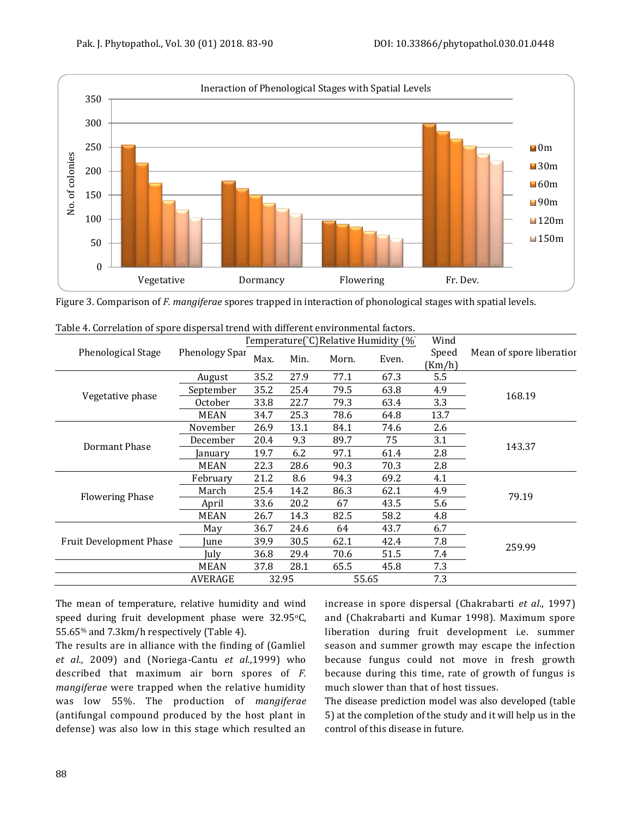

Figure 3. Comparison of *F. mangiferae* spores trapped in interaction of phonological stages with spatial levels.

|                                |                       | Temperature(°C) Relative Humidity (%) |      |       |       | Wind   |                          |  |
|--------------------------------|-----------------------|---------------------------------------|------|-------|-------|--------|--------------------------|--|
| Phenological Stage             | <b>Phenology Spar</b> | Max.                                  | Min. | Morn. | Even. | Speed  | Mean of spore liberatior |  |
|                                |                       |                                       |      |       |       | (Km/h) |                          |  |
|                                | August                | 35.2                                  | 27.9 | 77.1  | 67.3  | 5.5    |                          |  |
| Vegetative phase               | September             | 35.2                                  | 25.4 | 79.5  | 63.8  | 4.9    | 168.19                   |  |
|                                | <b>October</b>        | 33.8                                  | 22.7 | 79.3  | 63.4  | 3.3    |                          |  |
|                                | <b>MEAN</b>           | 34.7                                  | 25.3 | 78.6  | 64.8  | 13.7   |                          |  |
|                                | November              | 26.9                                  | 13.1 | 84.1  | 74.6  | 2.6    |                          |  |
| Dormant Phase                  | December              | 20.4                                  | 9.3  | 89.7  | 75    | 3.1    |                          |  |
|                                | January               | 19.7                                  | 6.2  | 97.1  | 61.4  | 2.8    | 143.37                   |  |
|                                | <b>MEAN</b>           | 22.3                                  | 28.6 | 90.3  | 70.3  | 2.8    |                          |  |
|                                | February              | 21.2                                  | 8.6  | 94.3  | 69.2  | 4.1    |                          |  |
|                                | March                 | 25.4                                  | 14.2 | 86.3  | 62.1  | 4.9    | 79.19                    |  |
| <b>Flowering Phase</b>         | April                 | 33.6                                  | 20.2 | 67    | 43.5  | 5.6    |                          |  |
|                                | <b>MEAN</b>           | 26.7                                  | 14.3 | 82.5  | 58.2  | 4.8    |                          |  |
|                                | May                   | 36.7                                  | 24.6 | 64    | 43.7  | 6.7    |                          |  |
| <b>Fruit Development Phase</b> | June                  | 39.9                                  | 30.5 | 62.1  | 42.4  | 7.8    |                          |  |
|                                | July                  | 36.8                                  | 29.4 | 70.6  | 51.5  | 7.4    | 259.99                   |  |
|                                | <b>MEAN</b>           | 37.8                                  | 28.1 | 65.5  | 45.8  | 7.3    |                          |  |
|                                | <b>AVERAGE</b>        | 32.95<br>55.65                        |      | 7.3   |       |        |                          |  |

| Table 4. Correlation of spore dispersal trend with different environmental factors. |  |  |  |  |  |  |  |
|-------------------------------------------------------------------------------------|--|--|--|--|--|--|--|
|-------------------------------------------------------------------------------------|--|--|--|--|--|--|--|

The mean of temperature, relative humidity and wind speed during fruit development phase were 32.95°C, 55.65% and 7.3km/h respectively (Table 4).

The results are in alliance with the finding of (Gamliel *et al.,* 2009) and (Noriega-Cantu *et al.,*1999) who described that maximum air born spores of *F. mangiferae* were trapped when the relative humidity was low 55%. The production of *mangiferae* (antifungal compound produced by the host plant in defense) was also low in this stage which resulted an

increase in spore dispersal (Chakrabarti *et al*., 1997) and (Chakrabarti and Kumar 1998). Maximum spore liberation during fruit development i.e. summer season and summer growth may escape the infection because fungus could not move in fresh growth because during this time, rate of growth of fungus is much slower than that of host tissues.

The disease prediction model was also developed (table 5) at the completion of the study and it will help us in the control of this disease in future.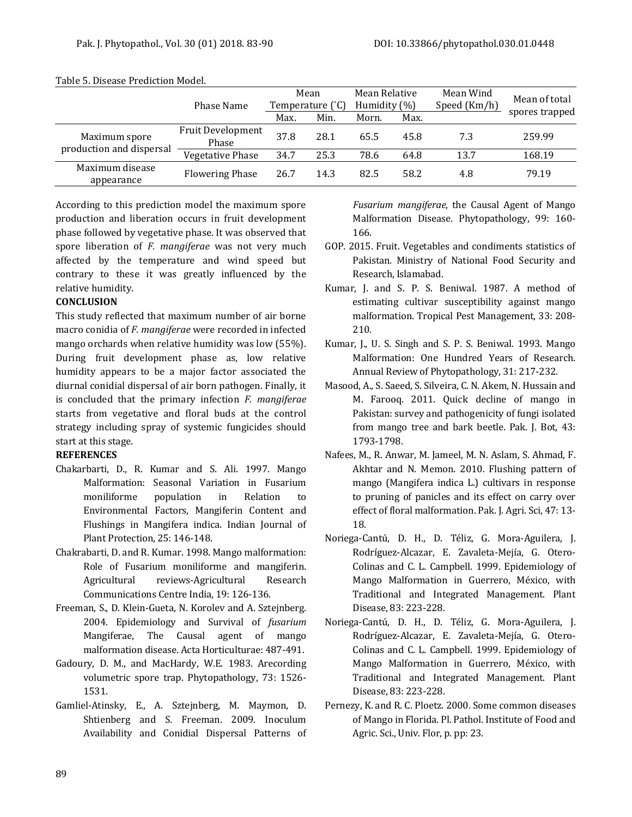|                               | Phase Name                        | Mean<br>Temperature $({}^{\circ}C)$ |      | Mean Relative<br>Humidity (%) |      | Mean Wind<br>Speed (Km/h) | Mean of total  |
|-------------------------------|-----------------------------------|-------------------------------------|------|-------------------------------|------|---------------------------|----------------|
|                               |                                   | Max.                                | Min. | Morn.                         | Max. |                           | spores trapped |
| Maximum spore                 | <b>Fruit Development</b><br>Phase | 37.8                                | 28.1 | 65.5                          | 45.8 | 7.3                       | 259.99         |
| production and dispersal      | Vegetative Phase                  | 34.7                                | 25.3 | 78.6                          | 64.8 | 13.7                      | 168.19         |
| Maximum disease<br>appearance | <b>Flowering Phase</b>            | 26.7                                | 14.3 | 82.5                          | 58.2 | 4.8                       | 79.19          |

Table 5. Disease Prediction Model.

According to this prediction model the maximum spore production and liberation occurs in fruit development phase followed by vegetative phase. It was observed that spore liberation of *F. mangiferae* was not very much affected by the temperature and wind speed but contrary to these it was greatly influenced by the relative humidity.

# **CONCLUSION**

This study reflected that maximum number of air borne macro conidia of *F. mangiferae* were recorded in infected mango orchards when relative humidity was low (55%). During fruit development phase as, low relative humidity appears to be a major factor associated the diurnal conidial dispersal of air born pathogen. Finally, it is concluded that the primary infection *F. mangiferae* starts from vegetative and floral buds at the control strategy including spray of systemic fungicides should start at this stage.

# **REFERENCES**

- Chakarbarti, D., R. Kumar and S. Ali. 1997. Mango Malformation: Seasonal Variation in Fusarium moniliforme population in Relation to Environmental Factors, Mangiferin Content and Flushings in Mangifera indica. Indian Journal of Plant Protection, 25: 146-148.
- Chakrabarti, D. and R. Kumar. 1998. Mango malformation: Role of Fusarium moniliforme and mangiferin. Agricultural reviews-Agricultural Research Communications Centre India, 19: 126-136.
- Freeman, S., D. Klein-Gueta, N. Korolev and A. Sztejnberg. 2004. Epidemiology and Survival of *fusarium* Mangiferae, The Causal agent of mango malformation disease. Acta Horticulturae: 487-491.
- Gadoury, D. M., and MacHardy, W.E. 1983. Arecording volumetric spore trap. Phytopathology, 73: 1526- 1531.
- Gamliel-Atinsky, E., A. Sztejnberg, M. Maymon, D. Shtienberg and S. Freeman. 2009. Inoculum Availability and Conidial Dispersal Patterns of

*Fusarium mangiferae*, the Causal Agent of Mango Malformation Disease. Phytopathology, 99: 160- 166.

- GOP. 2015. Fruit. Vegetables and condiments statistics of Pakistan. Ministry of National Food Security and Research, Islamabad.
- Kumar, J. and S. P. S. Beniwal. 1987. A method of estimating cultivar susceptibility against mango malformation. Tropical Pest Management, 33: 208- 210.
- Kumar, J., U. S. Singh and S. P. S. Beniwal. 1993. Mango Malformation: One Hundred Years of Research. Annual Review of Phytopathology, 31: 217-232.
- Masood, A., S. Saeed, S. Silveira, C. N. Akem, N. Hussain and M. Farooq. 2011. Quick decline of mango in Pakistan: survey and pathogenicity of fungi isolated from mango tree and bark beetle. Pak. J. Bot, 43: 1793-1798.
- Nafees, M., R. Anwar, M. Jameel, M. N. Aslam, S. Ahmad, F. Akhtar and N. Memon. 2010. Flushing pattern of mango (Mangifera indica L.) cultivars in response to pruning of panicles and its effect on carry over effect of floral malformation. Pak. J. Agri. Sci, 47: 13- 18.
- Noriega-Cantú, D. H., D. Téliz, G. Mora-Aguilera, J. Rodríguez-Alcazar, E. Zavaleta-Mejía, G. Otero-Colinas and C. L. Campbell. 1999. Epidemiology of Mango Malformation in Guerrero, México, with Traditional and Integrated Management. Plant Disease, 83: 223-228.
- Noriega-Cantú, D. H., D. Téliz, G. Mora-Aguilera, J. Rodríguez-Alcazar, E. Zavaleta-Mejía, G. Otero-Colinas and C. L. Campbell. 1999. Epidemiology of Mango Malformation in Guerrero, México, with Traditional and Integrated Management. Plant Disease, 83: 223-228.
- Pernezy, K. and R. C. Ploetz. 2000. Some common diseases of Mango in Florida. Pl. Pathol. Institute of Food and Agric. Sci., Univ. Flor, p. pp: 23.